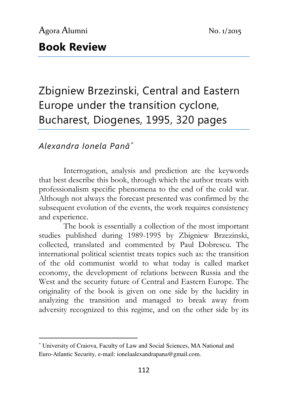# Book Review

Zbigniew Brzezinski, Central and Eastern Europe under the transition cyclone, Bucharest, Diogenes, 1995, 320 pages

### Alexandra Ionela Pană<sup>∗</sup>

l

Interrogation, analysis and prediction are the keywords that best describe this book, through which the author treats with professionalism specific phenomena to the end of the cold war. Although not always the forecast presented was confirmed by the subsequent evolution of the events, the work requires consistency and experience.

The book is essentially a collection of the most important studies published during 1989-1995 by Zbigniew Brzezinski, collected, translated and commented by Paul Dobrescu. The international political scientist treats topics such as: the transition of the old communist world to what today is called market economy, the development of relations between Russia and the West and the security future of Central and Eastern Europe. The originality of the book is given on one side by the lucidity in analyzing the transition and managed to break away from adversity recognized to this regime, and on the other side by its

<sup>∗</sup> University of Craiova, Faculty of Law and Social Sciences, MA National and Euro-Atlantic Security, e-mail: ionelaalexandrapana@gmail.com.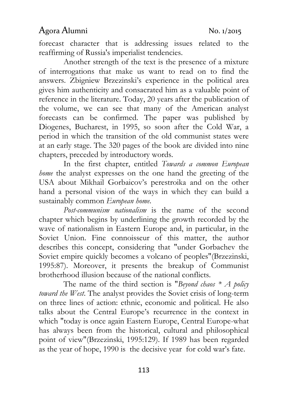## Agora Alumni No. 1/2015

forecast character that is addressing issues related to the reaffirming of Russia's imperialist tendencies.

Another strength of the text is the presence of a mixture of interrogations that make us want to read on to find the answers. Zbigniew Brzezinski's experience in the political area gives him authenticity and consacrated him as a valuable point of reference in the literature. Today, 20 years after the publication of the volume, we can see that many of the American analyst forecasts can be confirmed. The paper was published by Diogenes, Bucharest, in 1995, so soon after the Cold War, a period in which the transition of the old communist states were at an early stage. The 320 pages of the book are divided into nine chapters, preceded by introductory words.

In the first chapter, entitled Towards a common European home the analyst expresses on the one hand the greeting of the USA about Mikhail Gorbaicov's perestroika and on the other hand a personal vision of the ways in which they can build a sustainably common European home.

Post-communism nationalism is the name of the second chapter which begins by underlining the growth recorded by the wave of nationalism in Eastern Europe and, in particular, in the Soviet Union. Fine connoisseur of this matter, the author describes this concept, considering that "under Gorbachev the Soviet empire quickly becomes a volcano of peoples"(Brzezinski, 1995:87). Moreover, it presents the breakup of Communist brotherhood illusion because of the national conflicts.

The name of the third section is "Beyond chaos  $* A$  policy toward the West. The analyst provides the Soviet crisis of long-term on three lines of action: ethnic, economic and political. He also talks about the Central Europe's recurrence in the context in which "today is once again Eastern Europe, Central Europe-what has always been from the historical, cultural and philosophical point of view"(Brzezinski, 1995:129). If 1989 has been regarded as the year of hope, 1990 is the decisive year for cold war's fate.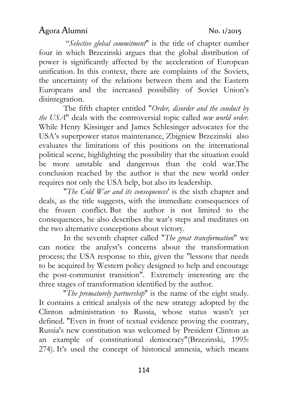### Agora Alumni No. 1/2015

 "Selective global commitment" is the title of chapter number four in which Brzezinski argues that the global distribution of power is significantly affected by the acceleration of European unification. In this context, there are complaints of the Soviets, the uncertainty of the relations between them and the Eastern Europeans and the increased possibility of Soviet Union's disintegration.

The fifth chapter entitled "Order, disorder and the conduct by the USA" deals with the controversial topic called new world order. While Henry Kissinger and James Schlesinger advocates for the USA's superpower status maintenance, Zbigniew Brzezinski also evaluates the limitations of this positions on the international political scene, highlighting the possibility that the situation could be more unstable and dangerous than the cold war.The conclusion reached by the author is that the new world order requires not only the USA help, but also its leadership.

"The Cold War and its consequences' is the sixth chapter and deals, as the title suggests, with the immediate consequences of the frozen conflict. But the author is not limited to the consequences, he also describes the war's steps and meditates on the two alternative conceptions about victory.

In the seventh chapter called "The great transformation" we can notice the analyst's concerns about the transformation process; the USA response to this, given the "lessons that needs to be acquired by Western policy designed to help and encourage the post-communist transition". Extremely interesting are the three stages of transformation identified by the author.

"The prematurely partnership" is the name of the eight study. It contains a critical analysis of the new strategy adopted by the Clinton administration to Russia, whose status wasn't yet defined. "Even in front of textual evidence proving the contrary, Russia's new constitution was welcomed by President Clinton as an example of constitutional democracy"(Brzezinski, 1995: 274). It's used the concept of historical amnesia, which means